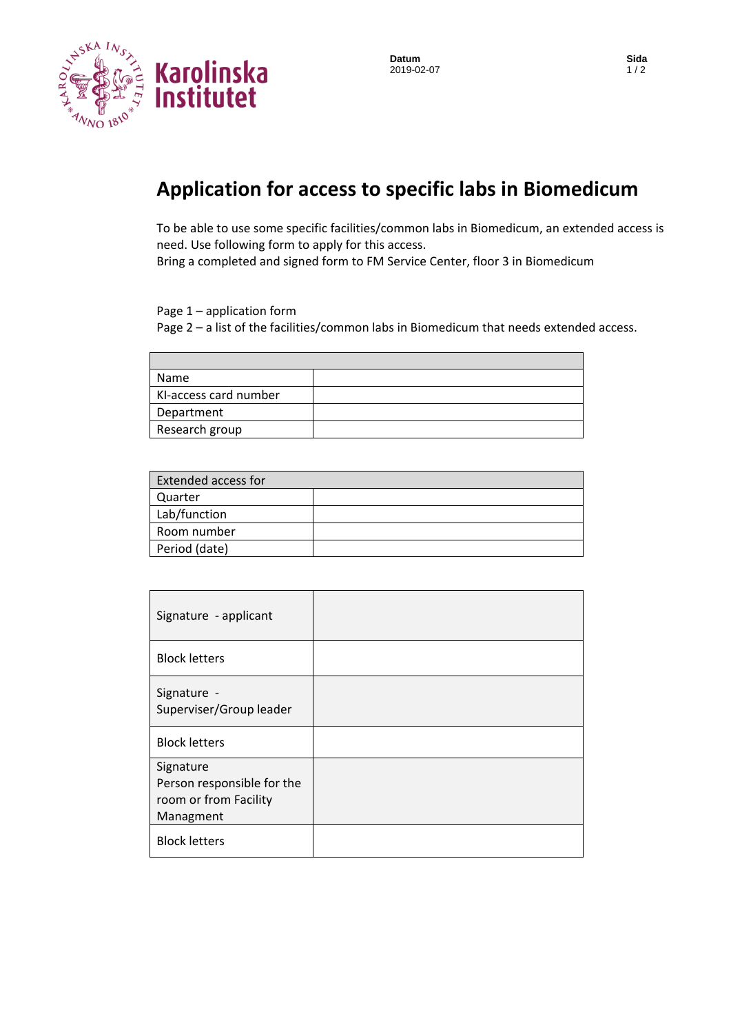

**Datum Sida**<br>2019-02-07 1/2 2019-02-07

## **Application for access to specific labs in Biomedicum**

To be able to use some specific facilities/common labs in Biomedicum, an extended access is need. Use following form to apply for this access.

Bring a completed and signed form to FM Service Center, floor 3 in Biomedicum

Page 1 – application form

Page 2 – a list of the facilities/common labs in Biomedicum that needs extended access.

| Name                  |  |
|-----------------------|--|
| KI-access card number |  |
| Department            |  |
| Research group        |  |

| <b>Extended access for</b> |  |
|----------------------------|--|
| Quarter                    |  |
| Lab/function               |  |
| Room number                |  |
| Period (date)              |  |
|                            |  |

| Signature - applicant                  |  |
|----------------------------------------|--|
| <b>Block letters</b>                   |  |
| Signature -<br>Superviser/Group leader |  |
| <b>Block letters</b>                   |  |
| Signature                              |  |
| Person responsible for the             |  |
| room or from Facility                  |  |
| Managment                              |  |
| <b>Block letters</b>                   |  |